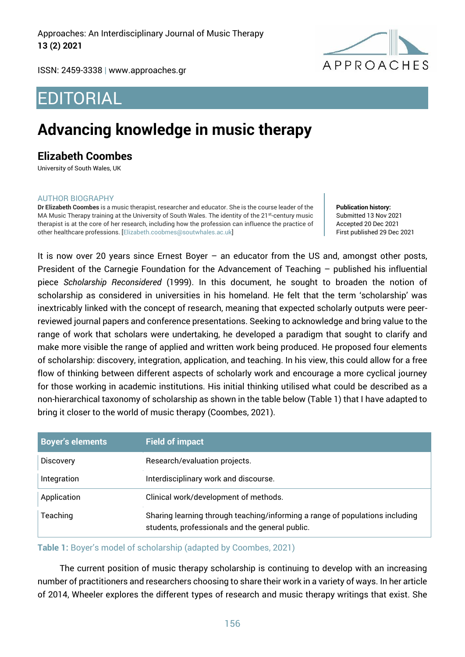Approaches: An Interdisciplinary Journal of Music Therapy **13 (2) 2021**



ISSN: 2459-3338 | [www.approaches.gr](http://approaches.gr/)

# EDITORIAL

## **Advancing knowledge in music therapy**

### **Elizabeth Coombes**

University of South Wales, UK

#### AUTHOR BIOGRAPHY

**Dr Elizabeth Coombes** is a music therapist, researcher and educator. She is the course leader of the MA Music Therapy training at the University of South Wales. The identity of the 21<sup>st</sup>-century music therapist is at the core of her research, including how the profession can influence the practice of other healthcare professions. [Elizabeth.coobmes@soutwhales.ac.uk]

**Publication history:**  Submitted 13 Nov 2021 Accepted 20 Dec 2021 First published 29 Dec 2021

It is now over 20 years since Ernest Boyer – an educator from the US and, amongst other posts, President of the Carnegie Foundation for the Advancement of Teaching – published his influential piece *Scholarship Reconsidered* (1999). In this document, he sought to broaden the notion of scholarship as considered in universities in his homeland. He felt that the term 'scholarship' was inextricably linked with the concept of research, meaning that expected scholarly outputs were peerreviewed journal papers and conference presentations. Seeking to acknowledge and bring value to the range of work that scholars were undertaking, he developed a paradigm that sought to clarify and make more visible the range of applied and written work being produced. He proposed four elements of scholarship: discovery, integration, application, and teaching. In his view, this could allow for a free flow of thinking between different aspects of scholarly work and encourage a more cyclical journey for those working in academic institutions. His initial thinking utilised what could be described as a non-hierarchical taxonomy of scholarship as shown in the table below (Table 1) that I have adapted to bring it closer to the world of music therapy (Coombes, 2021).

| <b>Boyer's elements</b> | <b>Field of impact</b>                                                                                                          |
|-------------------------|---------------------------------------------------------------------------------------------------------------------------------|
| <b>Discovery</b>        | Research/evaluation projects.                                                                                                   |
| Integration             | Interdisciplinary work and discourse.                                                                                           |
| Application             | Clinical work/development of methods.                                                                                           |
| Teaching                | Sharing learning through teaching/informing a range of populations including<br>students, professionals and the general public. |

#### **Table 1:** Boyer's model of scholarship (adapted by Coombes, 2021)

The current position of music therapy scholarship is continuing to develop with an increasing number of practitioners and researchers choosing to share their work in a variety of ways. In her article of 2014, Wheeler explores the different types of research and music therapy writings that exist. She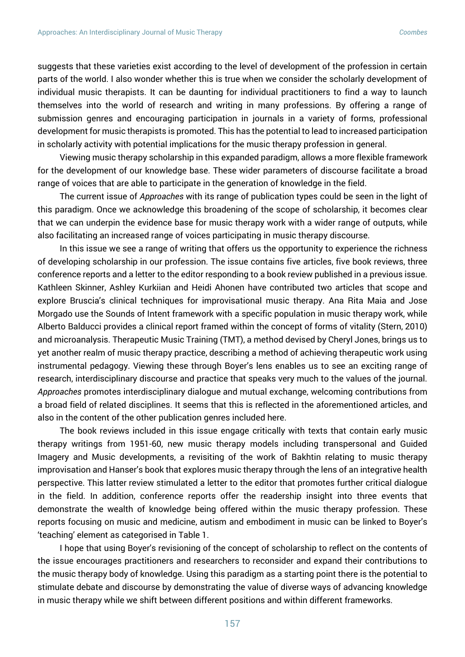suggests that these varieties exist according to the level of development of the profession in certain parts of the world. I also wonder whether this is true when we consider the scholarly development of individual music therapists. It can be daunting for individual practitioners to find a way to launch themselves into the world of research and writing in many professions. By offering a range of submission genres and encouraging participation in journals in a variety of forms, professional development for music therapists is promoted. This has the potential to lead to increased participation in scholarly activity with potential implications for the music therapy profession in general.

Viewing music therapy scholarship in this expanded paradigm, allows a more flexible framework for the development of our knowledge base. These wider parameters of discourse facilitate a broad range of voices that are able to participate in the generation of knowledge in the field.

The current issue of *Approaches* with its range of publication types could be seen in the light of this paradigm. Once we acknowledge this broadening of the scope of scholarship, it becomes clear that we can underpin the evidence base for music therapy work with a wider range of outputs, while also facilitating an increased range of voices participating in music therapy discourse.

In this issue we see a range of writing that offers us the opportunity to experience the richness of developing scholarship in our profession. The issue contains five articles, five book reviews, three conference reports and a letter to the editor responding to a book review published in a previous issue. Kathleen Skinner, Ashley Kurkiian and Heidi Ahonen have contributed two articles that scope and explore Bruscia's clinical techniques for improvisational music therapy. Ana Rita Maia and Jose Morgado use the Sounds of Intent framework with a specific population in music therapy work, while Alberto Balducci provides a clinical report framed within the concept of forms of vitality (Stern, 2010) and microanalysis. Therapeutic Music Training (TMT), a method devised by Cheryl Jones, brings us to yet another realm of music therapy practice, describing a method of achieving therapeutic work using instrumental pedagogy. Viewing these through Boyer's lens enables us to see an exciting range of research, interdisciplinary discourse and practice that speaks very much to the values of the journal. *Approaches* promotes interdisciplinary dialogue and mutual exchange, welcoming contributions from a broad field of related disciplines. It seems that this is reflected in the aforementioned articles, and also in the content of the other publication genres included here.

The book reviews included in this issue engage critically with texts that contain early music therapy writings from 1951-60, new music therapy models including transpersonal and Guided Imagery and Music developments, a revisiting of the work of Bakhtin relating to music therapy improvisation and Hanser's book that explores music therapy through the lens of an integrative health perspective. This latter review stimulated a letter to the editor that promotes further critical dialogue in the field. In addition, conference reports offer the readership insight into three events that demonstrate the wealth of knowledge being offered within the music therapy profession. These reports focusing on music and medicine, autism and embodiment in music can be linked to Boyer's 'teaching' element as categorised in Table 1.

I hope that using Boyer's revisioning of the concept of scholarship to reflect on the contents of the issue encourages practitioners and researchers to reconsider and expand their contributions to the music therapy body of knowledge. Using this paradigm as a starting point there is the potential to stimulate debate and discourse by demonstrating the value of diverse ways of advancing knowledge in music therapy while we shift between different positions and within different frameworks.